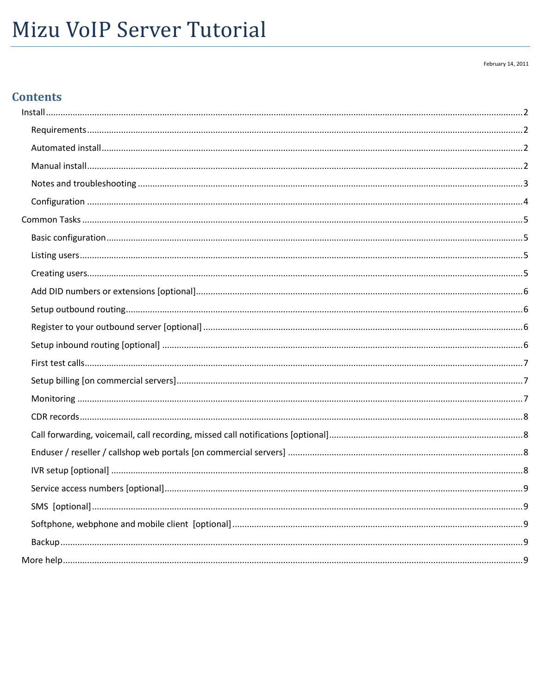# Mizu VoIP Server Tutorial

#### February 14, 2011

## **Contents**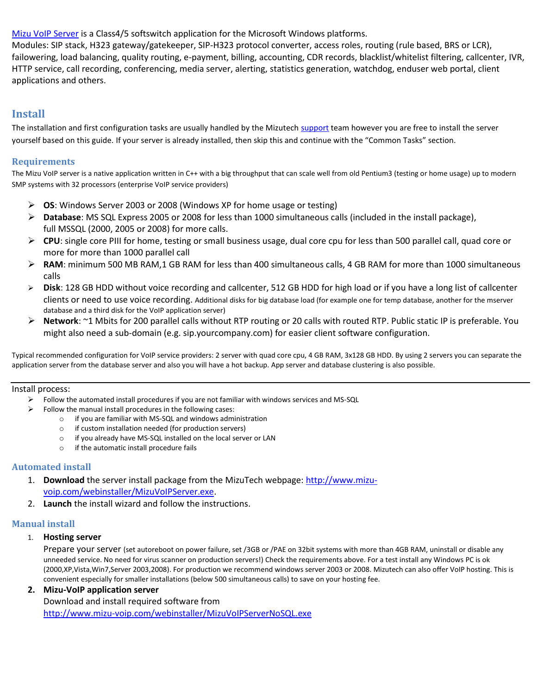[Mizu VoIP Server](http://www.mizu-voip.com/Products/VoIPServer.aspx) is a Class4/5 softswitch application for the Microsoft Windows platforms.

Modules: SIP stack, H323 gateway/gatekeeper, SIP-H323 protocol converter, access roles, routing (rule based, BRS or LCR), failowering, load balancing, quality routing, e-payment, billing, accounting, CDR records, blacklist/whitelist filtering, callcenter, IVR, HTTP service, call recording, conferencing, media server, alerting, statistics generation, watchdog, enduser web portal, client applications and others.

## <span id="page-1-0"></span>**Install**

The installation and first configuration tasks are usually handled by the Mizutech [support](mailto:support@mizu-voip.com?subject=VoIP%20server%20setup) team however you are free to install the server yourself based on this guide. If your server is already installed, then skip this and continue with the "Common Tasks" section.

#### <span id="page-1-1"></span>**Requirements**

The Mizu VoIP server is a native application written in C++ with a big throughput that can scale well from old Pentium3 (testing or home usage) up to modern SMP systems with 32 processors (enterprise VoIP service providers)

- **OS**: Windows Server 2003 or 2008 (Windows XP for home usage or testing)
- **Database**: MS SQL Express 2005 or 2008 for less than 1000 simultaneous calls (included in the install package), full MSSQL (2000, 2005 or 2008) for more calls.
- **CPU**: single core PIII for home, testing or small business usage, dual core cpu for less than 500 parallel call, quad core or more for more than 1000 parallel call
- **RAM**: minimum 500 MB RAM,1 GB RAM for less than 400 simultaneous calls, 4 GB RAM for more than 1000 simultaneous calls
- **Disk**: 128 GB HDD without voice recording and callcenter, 512 GB HDD for high load or if you have a long list of callcenter clients or need to use voice recording. Additional disks for big database load (for example one for temp database, another for the mserver database and a third disk for the VoIP application server)
- **Network**: ~1 Mbits for 200 parallel calls without RTP routing or 20 calls with routed RTP. Public static IP is preferable. You might also need a sub-domain (e.g. sip.yourcompany.com) for easier client software configuration.

Typical recommended configuration for VoIP service providers: 2 server with quad core cpu, 4 GB RAM, 3x128 GB HDD. By using 2 servers you can separate the application server from the database server and also you will have a hot backup. App server and database clustering is also possible.

#### Install process:

- $\triangleright$  Follow the automated install procedures if you are not familiar with windows services and MS-SQL
- $\triangleright$  Follow the manual install procedures in the following cases:
	- o if you are familiar with MS-SQL and windows administration
	- o if custom installation needed (for production servers)
	- o if you already have MS-SQL installed on the local server or LAN
	- o if the automatic install procedure fails

#### <span id="page-1-2"></span>**Automated install**

- 1. **Download** the server install package from the MizuTech webpage[: http://www.mizu](http://www.mizu-voip.com/webinstaller/MizuVoIPServer.exe)[voip.com/webinstaller/MizuVoIPServer.exe.](http://www.mizu-voip.com/webinstaller/MizuVoIPServer.exe)
- 2. **Launch** the install wizard and follow the instructions.

#### <span id="page-1-3"></span>**Manual install**

#### 1. **Hosting server**

Prepare your server (set autoreboot on power failure, set /3GB or /PAE on 32bit systems with more than 4GB RAM, uninstall or disable any unneeded service. No need for virus scanner on production servers!) Check the requirements above. For a test install any Windows PC is ok (2000,XP,Vista,Win7,Server 2003,2008). For production we recommend windows server 2003 or 2008. Mizutech can also offer VoIP hosting. This is convenient especially for smaller installations (below 500 simultaneous calls) to save on your hosting fee.

#### **2. Mizu-VoIP application server**

Download and install required software from <http://www.mizu-voip.com/webinstaller/MizuVoIPServerNoSQL.exe>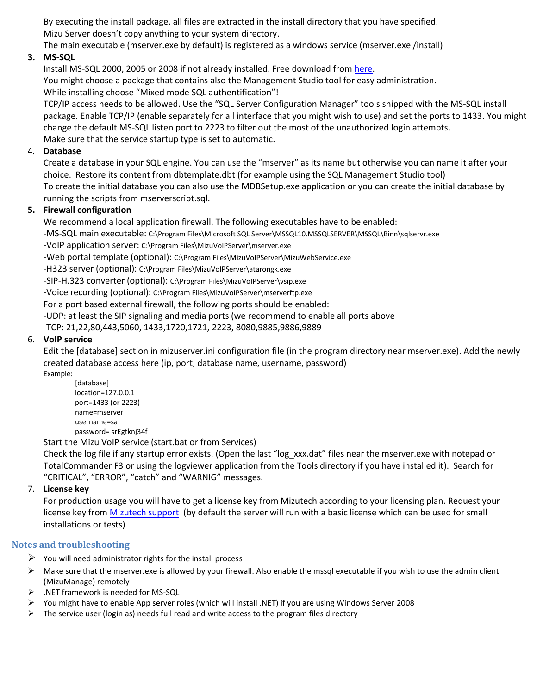By executing the install package, all files are extracted in the install directory that you have specified. Mizu Server doesn't copy anything to your system directory.

The main executable (mserver.exe by default) is registered as a windows service (mserver.exe /install)

## **3. MS-SQL**

Install MS-SQL 2000, 2005 or 2008 if not already installed. Free download from [here.](http://www.microsoft.com/express/sql/download/) You might choose a package that contains also the Management Studio tool for easy administration. While installing choose "Mixed mode SQL authentification"!

TCP/IP access needs to be allowed. Use the "SQL Server Configuration Manager" tools shipped with the MS-SQL install package. Enable TCP/IP (enable separately for all interface that you might wish to use) and set the ports to 1433. You might change the default MS-SQL listen port to 2223 to filter out the most of the unauthorized login attempts. Make sure that the service startup type is set to automatic.

#### 4. **Database**

Create a database in your SQL engine. You can use the "mserver" as its name but otherwise you can name it after your choice. Restore its content from dbtemplate.dbt (for example using the SQL Management Studio tool) To create the initial database you can also use the MDBSetup.exe application or you can create the initial database by running the scripts from mserverscript.sql.

#### **5. Firewall configuration**

We recommend a local application firewall. The following executables have to be enabled:

-MS-SQL main executable: C:\Program Files\Microsoft SQL Server\MSSQL10.MSSQLSERVER\MSSQL\Binn\sqlservr.exe

-VoIP application server: C:\Program Files\MizuVoIPServer\mserver.exe

-Web portal template (optional): C:\Program Files\MizuVoIPServer\MizuWebService.exe

-H323 server (optional): C:\Program Files\MizuVoIPServer\atarongk.exe

-SIP-H.323 converter (optional): C:\Program Files\MizuVoIPServer\vsip.exe

-Voice recording (optional): C:\Program Files\MizuVoIPServer\mserverftp.exe

For a port based external firewall, the following ports should be enabled:

-UDP: at least the SIP signaling and media ports (we recommend to enable all ports above

-TCP: 21,22,80,443,5060, 1433,1720,1721, 2223, 8080,9885,9886,9889

#### 6. **VoIP service**

Edit the [database] section in mizuserver.ini configuration file (in the program directory near mserver.exe). Add the newly created database access here (ip, port, database name, username, password) Example:

[database] location=127.0.0.1 port=1433 (or 2223) name=mserver username=sa password= srEgtknj34f

Start the Mizu VoIP service (start.bat or from Services)

Check the log file if any startup error exists. (Open the last "log\_xxx.dat" files near the mserver.exe with notepad or TotalCommander F3 or using the logviewer application from the Tools directory if you have installed it). Search for "CRITICAL", "ERROR", "catch" and "WARNIG" messages.

#### 7. **License key**

For production usage you will have to get a license key from Mizutech according to your licensing plan. Request your license key from [Mizutech support](mailto:support@mizu-voip.com?subject=License%20Key%20Request) (by default the server will run with a basic license which can be used for small installations or tests)

#### <span id="page-2-0"></span>**Notes and troubleshooting**

- $\triangleright$  You will need administrator rights for the install process
- $\triangleright$  Make sure that the mserver.exe is allowed by your firewall. Also enable the mssql executable if you wish to use the admin client (MizuManage) remotely
- $\triangleright$  .NET framework is needed for MS-SQL
- You might have to enable App server roles (which will install .NET) if you are using Windows Server 2008
- $\triangleright$  The service user (login as) needs full read and write access to the program files directory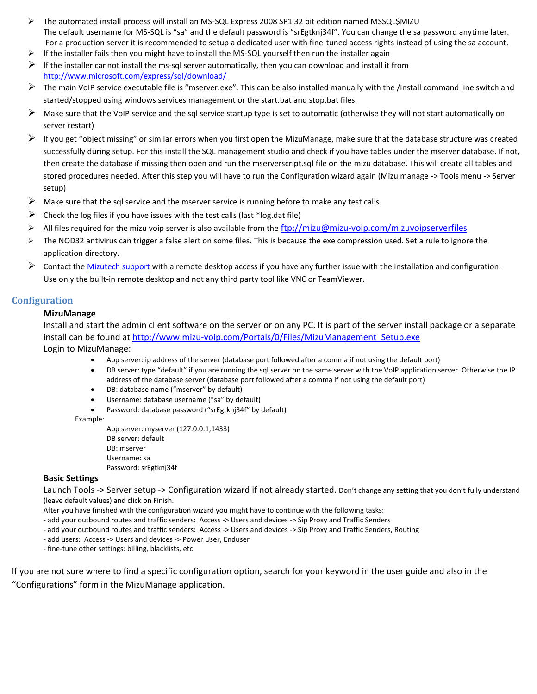- The automated install process will install an MS-SQL Express 2008 SP1 32 bit edition named MSSQL\$MIZU The default username for MS-SQL is "sa" and the default password is "srEgtknj34f". You can change the sa password anytime later. For a production server it is recommended to setup a dedicated user with fine-tuned access rights instead of using the sa account.
- $\triangleright$  If the installer fails then you might have to install the MS-SQL yourself then run the installer again
- If the installer cannot install the ms-sql server automatically, then you can download and install it from <http://www.microsoft.com/express/sql/download/>
- The main VoIP service executable file is "mserver.exe". This can be also installed manually with the /install command line switch and started/stopped using windows services management or the start.bat and stop.bat files.
- $\triangleright$  Make sure that the VoIP service and the sql service startup type is set to automatic (otherwise they will not start automatically on server restart)
- $\triangleright$  If you get "object missing" or similar errors when you first open the MizuManage, make sure that the database structure was created successfully during setup. For this install the SQL management studio and check if you have tables under the mserver database. If not, then create the database if missing then open and run the mserverscript.sql file on the mizu database. This will create all tables and stored procedures needed. After this step you will have to run the Configuration wizard again (Mizu manage -> Tools menu -> Server setup)
- $\triangleright$  Make sure that the sql service and the mserver service is running before to make any test calls
- $\triangleright$  Check the log files if you have issues with the test calls (last \*log.dat file)
- $\triangleright$  All files required for the mizu voip server is also available from the <ftp://mizu@mizu-voip.com/mizuvoipserverfiles>
- $\triangleright$  The NOD32 antivirus can trigger a false alert on some files. This is because the exe compression used. Set a rule to ignore the application directory.
- $\triangleright$  Contact the [Mizutech support](mailto:support@mizu-voip.com?subject=Server%20install%20help) with a remote desktop access if you have any further issue with the installation and configuration. Use only the built-in remote desktop and not any third party tool like VNC or TeamViewer.

#### <span id="page-3-0"></span>**Configuration**

#### **MizuManage**

Install and start the admin client software on the server or on any PC. It is part of the server install package or a separate install can be found at [http://www.mizu-voip.com/Portals/0/Files/MizuManagement\\_Setup.exe](http://www.mizu-voip.com/Portals/0/Files/MizuManagement_Setup.exe) Login to MizuManage:

- App server: ip address of the server (database port followed after a comma if not using the default port)
- DB server: type "default" if you are running the sql server on the same server with the VoIP application server. Otherwise the IP address of the database server (database port followed after a comma if not using the default port)
- DB: database name ("mserver" by default)
- Username: database username ("sa" by default)
- Password: database password ("srEgtknj34f" by default)

Example:

App server: myserver (127.0.0.1,1433) DB server: default DB: mserver Username: sa Password: srEgtknj34f

#### **Basic Settings**

Launch Tools -> Server setup -> Configuration wizard if not already started. Don't change any setting that you don't fully understand (leave default values) and click on Finish.

After you have finished with the configuration wizard you might have to continue with the following tasks:

- add your outbound routes and traffic senders: Access -> Users and devices -> Sip Proxy and Traffic Senders
- add your outbound routes and traffic senders: Access -> Users and devices -> Sip Proxy and Traffic Senders, Routing
- add users: Access -> Users and devices -> Power User, Enduser

- fine-tune other settings: billing, blacklists, etc

If you are not sure where to find a specific configuration option, search for your keyword in the user guide and also in the "Configurations" form in the MizuManage application.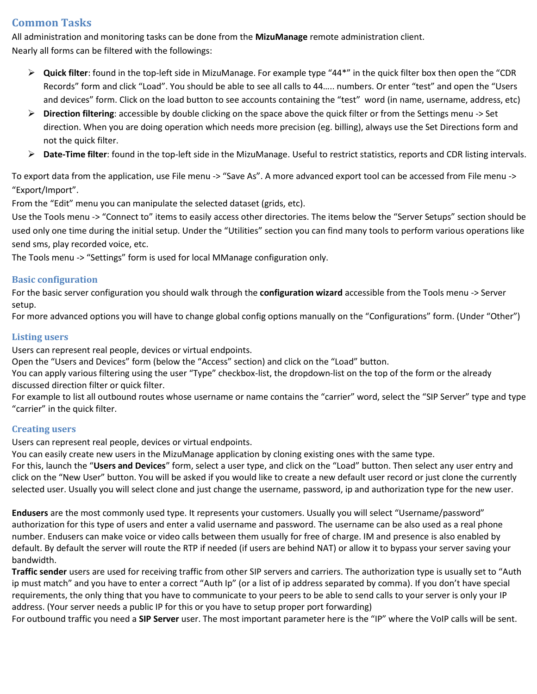## <span id="page-4-0"></span>**Common Tasks**

All administration and monitoring tasks can be done from the **MizuManage** remote administration client. Nearly all forms can be filtered with the followings:

- **Quick filter**: found in the top-left side in MizuManage. For example type "44\*" in the quick filter box then open the "CDR Records" form and click "Load". You should be able to see all calls to 44….. numbers. Or enter "test" and open the "Users and devices" form. Click on the load button to see accounts containing the "test" word (in name, username, address, etc)
- **Direction filtering**: accessible by double clicking on the space above the quick filter or from the Settings menu -> Set direction. When you are doing operation which needs more precision (eg. billing), always use the Set Directions form and not the quick filter.
- **Date-Time filter**: found in the top-left side in the MizuManage. Useful to restrict statistics, reports and CDR listing intervals.

To export data from the application, use File menu -> "Save As". A more advanced export tool can be accessed from File menu -> "Export/Import".

From the "Edit" menu you can manipulate the selected dataset (grids, etc).

Use the Tools menu -> "Connect to" items to easily access other directories. The items below the "Server Setups" section should be used only one time during the initial setup. Under the "Utilities" section you can find many tools to perform various operations like send sms, play recorded voice, etc.

The Tools menu -> "Settings" form is used for local MManage configuration only.

#### <span id="page-4-1"></span>**Basic configuration**

For the basic server configuration you should walk through the **configuration wizard** accessible from the Tools menu -> Server setup.

For more advanced options you will have to change global config options manually on the "Configurations" form. (Under "Other")

#### <span id="page-4-2"></span>**Listing users**

Users can represent real people, devices or virtual endpoints.

Open the "Users and Devices" form (below the "Access" section) and click on the "Load" button.

You can apply various filtering using the user "Type" checkbox-list, the dropdown-list on the top of the form or the already discussed direction filter or quick filter.

For example to list all outbound routes whose username or name contains the "carrier" word, select the "SIP Server" type and type "carrier" in the quick filter.

#### <span id="page-4-3"></span>**Creating users**

Users can represent real people, devices or virtual endpoints.

You can easily create new users in the MizuManage application by cloning existing ones with the same type.

For this, launch the "**Users and Devices**" form, select a user type, and click on the "Load" button. Then select any user entry and click on the "New User" button. You will be asked if you would like to create a new default user record or just clone the currently selected user. Usually you will select clone and just change the username, password, ip and authorization type for the new user.

**Endusers** are the most commonly used type. It represents your customers. Usually you will select "Username/password" authorization for this type of users and enter a valid username and password. The username can be also used as a real phone number. Endusers can make voice or video calls between them usually for free of charge. IM and presence is also enabled by default. By default the server will route the RTP if needed (if users are behind NAT) or allow it to bypass your server saving your bandwidth.

**Traffic sender** users are used for receiving traffic from other SIP servers and carriers. The authorization type is usually set to "Auth ip must match" and you have to enter a correct "Auth Ip" (or a list of ip address separated by comma). If you don't have special requirements, the only thing that you have to communicate to your peers to be able to send calls to your server is only your IP address. (Your server needs a public IP for this or you have to setup proper port forwarding)

For outbound traffic you need a **SIP Server** user. The most important parameter here is the "IP" where the VoIP calls will be sent.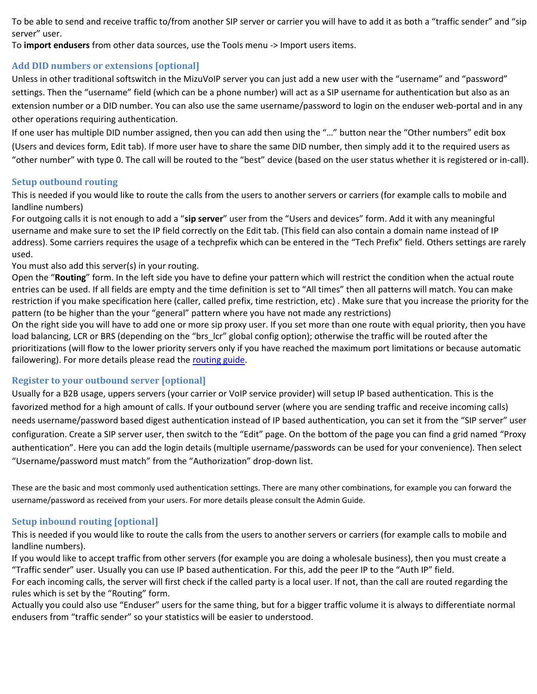To be able to send and receive traffic to/from another SIP server or carrier you will have to add it as both a "traffic sender" and "sip server" user.

To **import endusers** from other data sources, use the Tools menu -> Import users items.

## <span id="page-5-0"></span>**Add DID numbers or extensions [optional]**

Unless in other traditional softswitch in the MizuVoIP server you can just add a new user with the "username" and "password" settings. Then the "username" field (which can be a phone number) will act as a SIP username for authentication but also as an extension number or a DID number. You can also use the same username/password to login on the enduser web-portal and in any other operations requiring authentication.

If one user has multiple DID number assigned, then you can add then using the "…" button near the "Other numbers" edit box (Users and devices form, Edit tab). If more user have to share the same DID number, then simply add it to the required users as "other number" with type 0. The call will be routed to the "best" device (based on the user status whether it is registered or in-call).

#### <span id="page-5-1"></span>**Setup outbound routing**

This is needed if you would like to route the calls from the users to another servers or carriers (for example calls to mobile and landline numbers)

For outgoing calls it is not enough to add a "**sip server**" user from the "Users and devices" form. Add it with any meaningful username and make sure to set the IP field correctly on the Edit tab. (This field can also contain a domain name instead of IP address). Some carriers requires the usage of a techprefix which can be entered in the "Tech Prefix" field. Others settings are rarely used.

#### You must also add this server(s) in your routing.

Open the "**Routing**" form. In the left side you have to define your pattern which will restrict the condition when the actual route entries can be used. If all fields are empty and the time definition is set to "All times" then all patterns will match. You can make restriction if you make specification here (caller, called prefix, time restriction, etc) . Make sure that you increase the priority for the pattern (to be higher than the your "general" pattern where you have not made any restrictions)

On the right side you will have to add one or more sip proxy user. If you set more than one route with equal priority, then you have load balancing, LCR or BRS (depending on the "brs\_lcr" global config option); otherwise the traffic will be routed after the prioritizations (will flow to the lower priority servers only if you have reached the maximum port limitations or because automatic failowering). For more details please read th[e routing guide.](http://www.mizu-voip.com/Portals/0/Files/Routing_guide.pdf)

#### <span id="page-5-2"></span>**Register to your outbound server [optional]**

Usually for a B2B usage, uppers servers (your carrier or VoIP service provider) will setup IP based authentication. This is the favorized method for a high amount of calls. If your outbound server (where you are sending traffic and receive incoming calls) needs username/password based digest authentication instead of IP based authentication, you can set it from the "SIP server" user configuration. Create a SIP server user, then switch to the "Edit" page. On the bottom of the page you can find a grid named "Proxy authentication". Here you can add the login details (multiple username/passwords can be used for your convenience). Then select "Username/password must match" from the "Authorization" drop-down list.

These are the basic and most commonly used authentication settings. There are many other combinations, for example you can forward the username/password as received from your users. For more details please consult the Admin Guide.

#### <span id="page-5-3"></span>**Setup inbound routing [optional]**

This is needed if you would like to route the calls from the users to another servers or carriers (for example calls to mobile and landline numbers).

If you would like to accept traffic from other servers (for example you are doing a wholesale business), then you must create a "Traffic sender" user. Usually you can use IP based authentication. For this, add the peer IP to the "Auth IP" field.

For each incoming calls, the server will first check if the called party is a local user. If not, than the call are routed regarding the rules which is set by the "Routing" form.

Actually you could also use "Enduser" users for the same thing, but for a bigger traffic volume it is always to differentiate normal endusers from "traffic sender" so your statistics will be easier to understood.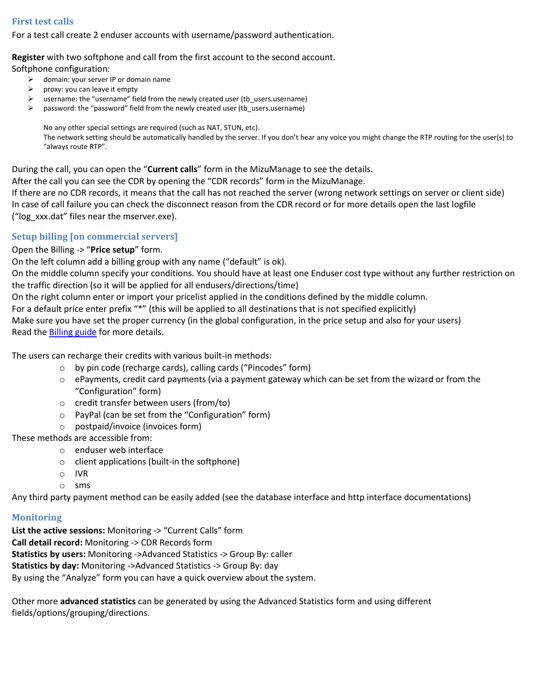## <span id="page-6-0"></span>**First test calls**

For a test call create 2 enduser accounts with username/password authentication.

#### **Register** with two softphone and call from the first account to the second account.

Softphone configuration:

- $\triangleright$  domain: your server IP or domain name
- $\triangleright$  proxy: you can leave it empty
- username: the "username" field from the newly created user (tb\_users.username)
- $\triangleright$  password: the "password" field from the newly created user (tb\_users.username)

No any other special settings are required (such as NAT, STUN, etc).

The network setting should be automatically handled by the server. If you don't hear any voice you might change the RTP routing for the user(s) to "always route RTP".

During the call, you can open the "**Current calls**" form in the MizuManage to see the details.

After the call you can see the CDR by opening the "CDR records" form in the MizuManage.

If there are no CDR records, it means that the call has not reached the server (wrong network settings on server or client side) In case of call failure you can check the disconnect reason from the CDR record or for more details open the last logfile ("log\_xxx.dat" files near the mserver.exe).

## <span id="page-6-1"></span>**Setup billing [on commercial servers]**

Open the Billing -> "**Price setup**" form.

On the left column add a billing group with any name ("default" is ok).

On the middle column specify your conditions. You should have at least one Enduser cost type without any further restriction on the traffic direction (so it will be applied for all endusers/directions/time)

On the right column enter or import your pricelist applied in the conditions defined by the middle column.

For a default price enter prefix "\*" (this will be applied to all destinations that is not specified explicitly)

Make sure you have set the proper currency (in the global configuration, in the price setup and also for your users) Read the [Billing guide](http://www.mizu-voip.com/Portals/0/Files/VoIP_Billing.pdf) for more details.

The users can recharge their credits with various built-in methods:

- o by pin code (recharge cards), calling cards ("Pincodes" form)
- $\circ$  ePayments, credit card payments (via a payment gateway which can be set from the wizard or from the "Configuration" form)
- o credit transfer between users (from/to)
- o PayPal (can be set from the "Configuration" form)
- o postpaid/invoice (invoices form)

These methods are accessible from:

- o enduser web interface
- o client applications (built-in the softphone)
- o IVR
- o sms

Any third party payment method can be easily added (see the database interface and http interface documentations)

## <span id="page-6-2"></span>**Monitoring**

List the active sessions: Monitoring -> "Current Calls" form **Call detail record:** Monitoring -> CDR Records form **Statistics by users:** Monitoring ->Advanced Statistics -> Group By: caller **Statistics by day:** Monitoring ->Advanced Statistics -> Group By: day By using the "Analyze" form you can have a quick overview about the system.

Other more **advanced statistics** can be generated by using the Advanced Statistics form and using different fields/options/grouping/directions.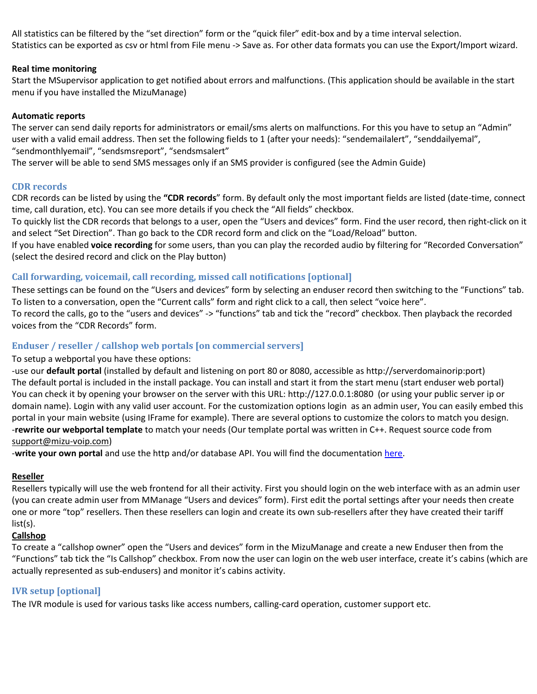All statistics can be filtered by the "set direction" form or the "quick filer" edit-box and by a time interval selection. Statistics can be exported as csv or html from File menu -> Save as. For other data formats you can use the Export/Import wizard.

#### **Real time monitoring**

Start the MSupervisor application to get notified about errors and malfunctions. (This application should be available in the start menu if you have installed the MizuManage)

#### **Automatic reports**

The server can send daily reports for administrators or email/sms alerts on malfunctions. For this you have to setup an "Admin" user with a valid email address. Then set the following fields to 1 (after your needs): "sendemailalert", "senddailyemal", "sendmonthlyemail", "sendsmsreport", "sendsmsalert"

The server will be able to send SMS messages only if an SMS provider is configured (see the Admin Guide)

#### <span id="page-7-0"></span>**CDR records**

CDR records can be listed by using the **"CDR records**" form. By default only the most important fields are listed (date-time, connect time, call duration, etc). You can see more details if you check the "All fields" checkbox.

To quickly list the CDR records that belongs to a user, open the "Users and devices" form. Find the user record, then right-click on it and select "Set Direction". Than go back to the CDR record form and click on the "Load/Reload" button.

If you have enabled **voice recording** for some users, than you can play the recorded audio by filtering for "Recorded Conversation" (select the desired record and click on the Play button)

#### <span id="page-7-1"></span>**Call forwarding, voicemail, call recording, missed call notifications [optional]**

These settings can be found on the "Users and devices" form by selecting an enduser record then switching to the "Functions" tab. To listen to a conversation, open the "Current calls" form and right click to a call, then select "voice here". To record the calls, go to the "users and devices" -> "functions" tab and tick the "record" checkbox. Then playback the recorded voices from the "CDR Records" form.

#### <span id="page-7-2"></span>**Enduser / reseller / callshop web portals [on commercial servers]**

#### To setup a webportal you have these options:

-use our **default portal** (installed by default and listening on port 80 or 8080, accessible as http://serverdomainorip:port) The default portal is included in the install package. You can install and start it from the start menu (start enduser web portal) You can check it by opening your browser on the server with this URL: http://127.0.0.1:8080 (or using your public server ip or domain name). Login with any valid user account. For the customization options login as an admin user, You can easily embed this portal in your main website (using IFrame for example). There are several options to customize the colors to match you design. -**rewrite our webportal template** to match your needs (Our template portal was written in C++. Request source code from [support@mizu-voip.com\)](mailto:support@mizu-voip.com)

-**write your own portal** and use the http and/or database API. You will find the documentatio[n here.](http://www.mizu-voip.com/Support/Documentations.aspx)

#### **Reseller**

Resellers typically will use the web frontend for all their activity. First you should login on the web interface with as an admin user (you can create admin user from MManage "Users and devices" form). First edit the portal settings after your needs then create one or more "top" resellers. Then these resellers can login and create its own sub-resellers after they have created their tariff list(s).

#### **Callshop**

To create a "callshop owner" open the "Users and devices" form in the MizuManage and create a new Enduser then from the "Functions" tab tick the "Is Callshop" checkbox. From now the user can login on the web user interface, create it's cabins (which are actually represented as sub-endusers) and monitor it's cabins activity.

#### <span id="page-7-3"></span>**IVR setup [optional]**

The IVR module is used for various tasks like access numbers, calling-card operation, customer support etc.